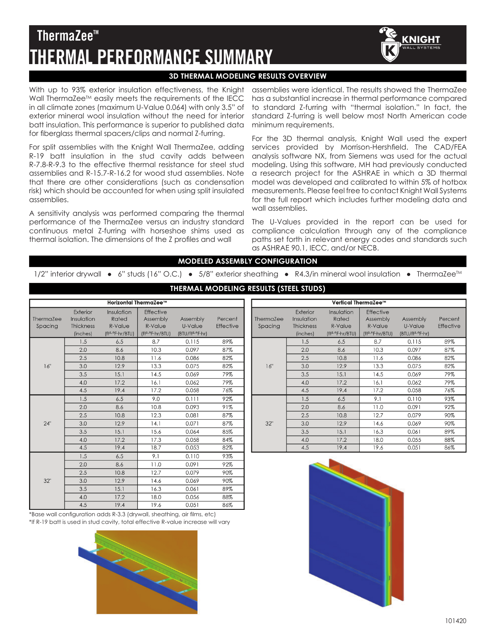## 101420

# **ThermaZee<sup>™</sup> THERMAL PERFORMANCE SUMMARY**

# **3D THERMAL MODELING RESULTS OVERVIEW**

With up to 93% exterior insulation effectiveness, the Knight Wall ThermaZee<sup>™</sup> easily meets the requirements of the IECC in all climate zones (maximum U-Value 0.064) with only 3.5" of exterior mineral wool insulation without the need for interior batt insulation. This performance is superior to published data for fiberglass thermal spacers/clips and normal Z-furring.

For split assemblies with the Knight Wall ThermaZee, adding R-19 batt insulation in the stud cavity adds between R-7.8-R-9.3 to the effective thermal resistance for steel stud assemblies and R-15.7-R-16.2 for wood stud assemblies. Note that there are other considerations (such as condensation risk) which should be accounted for when using split insulated assemblies.

A sensitivity analysis was performed comparing the thermal performance of the ThermaZee versus an industry standard continuous metal Z-furring with horseshoe shims used as thermal isolation. The dimensions of the Z profiles and wall

assemblies were identical. The results showed the ThermaZee has a substantial increase in thermal performance compared to standard Z-furring with "thermal isolation." In fact, the standard Z-furring is well below most North American code minimum requirements.

**CNIGHT** 

For the 3D thermal analysis, Knight Wall used the expert services provided by Morrison-Hershfield. The CAD/FEA analysis software NX, from Siemens was used for the actual modeling. Using this software, MH had previously conducted a research project for the ASHRAE in which a 3D thermal model was developed and calibrated to within 5% of hotbox measurements. Please feel free to contact Knight Wall Systems for the full report which includes further modeling data and wall assemblies.

The U-Values provided in the report can be used for compliance calculation through any of the compliance paths set forth in relevant energy codes and standards such as ASHRAE 90.1, IECC, and/or NECB.

Vertical Therma7ee<sup>r</sup>

Effective

Insulation

Exterior

#### **MODELED ASSEMBLY CONFIGURATION**

1/2" interior drywall • 6" studs (16" O.C.) • 5/8" exterior sheathing • R4.3/in mineral wool insulation • ThermaZee<sup>™</sup>

| Horizontal ThermaZee™ |                                                        |                                                                |                                                                  |                                                     |                             |  |
|-----------------------|--------------------------------------------------------|----------------------------------------------------------------|------------------------------------------------------------------|-----------------------------------------------------|-----------------------------|--|
| ThermaZee<br>Spacing  | Exterior<br>Insulation<br><b>Thickness</b><br>(inches) | Insulation<br>Rated<br>R-Value<br>(ft <sup>2.o</sup> F·hr/BTU) | Effective<br>Assembly<br>R-Value<br>(ft <sup>2.o</sup> F·hr/BTU) | Assembly<br>U-Value<br>(BTU/ft <sup>2.o</sup> F·hr) | Percent<br><b>Effective</b> |  |
|                       | 1.5                                                    | 6.5                                                            | 8.7                                                              | 0.115                                               | 89%                         |  |
|                       | 2.0                                                    | 8.6                                                            | 10.3                                                             | 0.097                                               | 87%                         |  |
|                       | 2.5                                                    | 10.8                                                           | 11.6                                                             | 0.086                                               | 82%                         |  |
| 16"                   | 3.0                                                    | 12.9                                                           | 13.3                                                             | 0.075                                               | 82%                         |  |
|                       | 3.5                                                    | 15.1                                                           | 14.5                                                             | 0.069                                               | 79%                         |  |
|                       | 4.0                                                    | 17.2                                                           | 16.1                                                             | 0.062                                               | 79%                         |  |
|                       | 4.5                                                    | 19.4                                                           | 17.2                                                             | 0.058                                               | 76%                         |  |
|                       | 1.5                                                    | 6.5                                                            | 9.0                                                              | 0.111                                               | 92%                         |  |
|                       | 2.0                                                    | 8.6                                                            | 10.8                                                             | 0.093                                               | 91%                         |  |
|                       | 2.5                                                    | 10.8                                                           | 12.3                                                             | 0.081                                               | 87%                         |  |
| 24"                   | 3.0                                                    | 12.9                                                           | 14.1                                                             | 0.071                                               | 87%                         |  |
|                       | 3.5                                                    | 15.1                                                           | 15.6                                                             | 0.064                                               | 85%                         |  |
|                       | 4.0                                                    | 17.2                                                           | 17.3                                                             | 0.058                                               | 84%                         |  |
|                       | 4.5                                                    | 19.4                                                           | 18.7                                                             | 0.053                                               | 82%                         |  |
|                       | 1.5                                                    | 6.5                                                            | 9.1                                                              | 0.110                                               | 93%                         |  |
|                       | 2.0                                                    | 8.6                                                            | 11.0                                                             | 0.091                                               | 92%                         |  |
|                       | 2.5                                                    | 10.8                                                           | 12.7                                                             | 0.079                                               | 90%                         |  |
| 32"                   | 3.0                                                    | 12.9                                                           | 14.6                                                             | 0.069                                               | 90%                         |  |
|                       | 3.5                                                    | 15.1                                                           | 16.3                                                             | 0.061                                               | 89%                         |  |
|                       | 4.0                                                    | 17.2                                                           | 18.0                                                             | 0.056                                               | 88%                         |  |
|                       | 4.5                                                    | 19.4                                                           | 19.6                                                             | 0.051                                               | 86%                         |  |

**THERMAL MODELING RESULTS (STEEL STUDS)**

| <b>ILIGILIQLES</b><br>Spacing | <b>HUULLUID</b><br><b>Thickness</b><br>(inches) | nuicu<br>R-Value<br>(ft <sup>2.o</sup> F·hr/BTU) | UNITION<br>R-Value<br>(ft <sup>2.o</sup> F·hr/BTU) | <b>APPLITION</b><br>U-Value<br>(BTU/ff <sup>2</sup> .°F·hr) | 150C<br>Effective |
|-------------------------------|-------------------------------------------------|--------------------------------------------------|----------------------------------------------------|-------------------------------------------------------------|-------------------|
|                               | 1.5                                             | 6.5                                              | 8.7                                                | 0.115                                                       | 89%               |
|                               | 2.0                                             | 8.6                                              | 10.3                                               | 0.097                                                       | 87%               |
|                               | 2.5                                             | 10.8                                             | 11.6                                               | 0.086                                                       | 82%               |
| 16"                           | 3.0                                             | 12.9                                             | 13.3                                               | 0.075                                                       | 82%               |
|                               | 3.5                                             | 15.1                                             | 14.5                                               | 0.069                                                       | 79%               |
|                               | 4.0                                             | 17.2                                             | 16.1                                               | 0.062                                                       | 79%               |
|                               | 4.5                                             | 19.4                                             | 17.2                                               | 0.058                                                       | 76%               |
| 32"                           | 1.5                                             | 6.5                                              | 9.1                                                | 0.110                                                       | 93%               |
|                               | 2.0                                             | 8.6                                              | 11.0                                               | 0.091                                                       | 92%               |
|                               | 2.5                                             | 10.8                                             | 12.7                                               | 0.079                                                       | 90%               |
|                               | 3.0                                             | 12.9                                             | 14.6                                               | 0.069                                                       | 90%               |
|                               | 3.5                                             | 15.1                                             | 16.3                                               | 0.061                                                       | 89%               |
|                               | 4.0                                             | 17.2                                             | 18.0                                               | 0.055                                                       | 88%               |
|                               | 4.5                                             | 19.4                                             | 19.6                                               | 0.051                                                       | 86%               |
|                               |                                                 |                                                  |                                                    |                                                             |                   |

\*Base wall configuration adds R-3.3 (drywall, sheathing, air films, etc) \*If R-19 batt is used in stud cavity, total effective R-value increase will vary